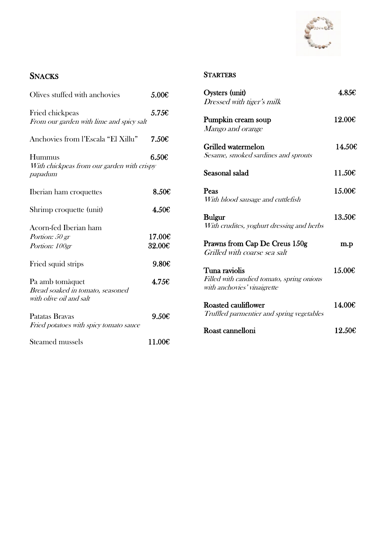

## **SNACKS**

| Olives stuffed with anchovies                                                  | 5.00 <sub>E</sub> |
|--------------------------------------------------------------------------------|-------------------|
| Fried chickpeas<br>From our garden with lime and spicy salt                    | 5.756             |
| Anchovies from l'Escala "El Xillu"                                             | 7.50C             |
| Hummus<br>With chickpeas from our garden with crispy<br>papadum                | 6.50E             |
| Iberian ham croquettes                                                         | 8.50E             |
| Shrimp croquette (unit)                                                        | 4.50€             |
| Acorn-fed Iberian ham<br>Portion: 50 gr<br>Portion: 100gr                      | 17.00€<br>32.00€  |
| Fried squid strips                                                             | 9.80E             |
| Pa amb tomàquet<br>Bread soaked in tomato, seasoned<br>with olive oil and salt | 4.756             |
| Patatas Bravas<br>Fried potatoes with spicy tomato sauce                       | 9.50C             |
| Steamed mussels                                                                | 11.00€            |

#### **STARTERS**

| Oysters (unit)<br>Dressed with tiger's milk                                               | 4.85€  |
|-------------------------------------------------------------------------------------------|--------|
| Pumpkin cream soup<br>Mango and orange                                                    | 12.00€ |
| Grilled watermelon<br>Sesame, smoked sardines and sprouts                                 | 14.50€ |
| Seasonal salad                                                                            | 11.50€ |
| Peas<br>With blood sausage and cuttlefish                                                 | 15.00€ |
| <b>Bulgur</b><br>With crudites, yoghurt dressing and herbs                                | 13.50C |
| Prawns from Cap De Creus 150g<br>Grilled with coarse sea salt                             | m.p    |
| Tuna raviolis<br>Filled with candied tomato, spring onions<br>with anchovies' vinaigrette | 15.00€ |
| Roasted cauliflower<br>Truffled parmentier and spring vegetables                          | 14.00€ |
| Roast cannelloni                                                                          | 12.506 |